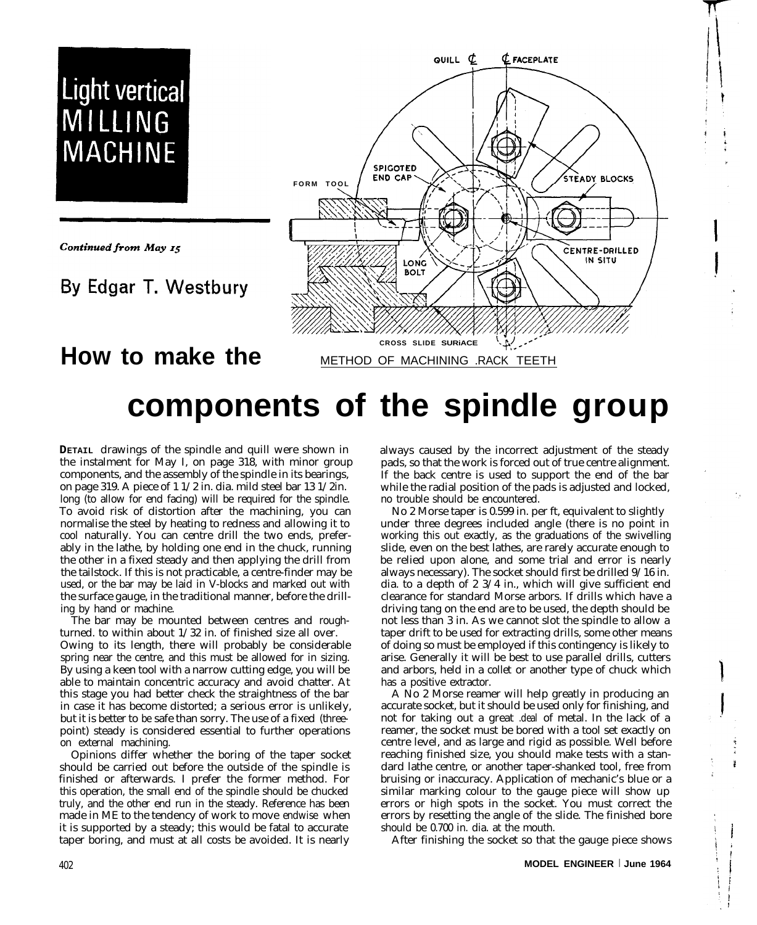

# **components of the spindle group**

**DETAIL** drawings of the spindle and quill were shown in the instalment for May I, on page 318, with minor group components, and the assembly of the spindle in its bearings, on page 319. A piece of 1 1/2 in. dia. mild steel bar 13 1/2in. long (to allow for end facing) will be required for the spindle. To avoid risk of distortion after the machining, you can normalise the steel by heating to redness and allowing it to cool naturally. You can centre drill the two ends, preferably in the lathe, by holding one end in the chuck, running the other in a fixed steady and then applying the drill from the tailstock. If this is not practicable, a centre-finder may be used, or the bar may be laid in V-blocks and marked out with the surface gauge, in the traditional manner, before the drilling by hand or machine.

The bar may be mounted between centres and roughturned. to within about 1/32 in. of finished size all over. Owing to its length, there will probably be considerable spring near the centre, and this must be allowed for in sizing. By using a keen tool with a narrow cutting edge, you will be able to maintain concentric accuracy and avoid chatter. At this stage you had better check the straightness of the bar in case it has become distorted; a serious error is unlikely, but it is better to be safe than sorry. The use of a fixed (threepoint) steady is considered essential to further operations on external machining.

Opinions differ whether the boring of the taper socket should be carried out before the outside of the spindle is finished or afterwards. I prefer the former method. For this operation, the small end of the spindle should be chucked truly, and the other end run in the steady. Reference has been made in ME to the tendency of work to move endwise when it is supported by a steady; this would be fatal to accurate taper boring, and must at all costs be avoided. It is nearly

always caused by the incorrect adjustment of the steady pads, so that the work is forced out of true centre alignment. If the back centre is used to support the end of the bar while the radial position of the pads is adjusted and locked, no trouble should be encountered.

No 2 Morse taper is 0.599 in. per ft, equivalent to slightly under three degrees included angle (there is no point in working this out exactly, as the graduations of the swivelling slide, even on the best lathes, are rarely accurate enough to be relied upon alone, and some trial and error is nearly always necessary). The socket should first be drilled 9/16 in. dia. to a depth of 2 3/4 in., which will give sufficient end clearance for standard Morse arbors. If drills which have a driving tang on the end are to be used, the depth should be not less than 3 in. As we cannot slot the spindle to allow a taper drift to be used for extracting drills, some other means of doing so must be employed if this contingency is likely to arise. Generally it will be best to use parallel drills, cutters and arbors, held in a collet or another type of chuck which has a positive extractor.

A No 2 Morse reamer will help greatly in producing an accurate socket, but it should be used only for finishing, and not for taking out a great .deal of metal. In the lack of a reamer, the socket must be bored with a tool set exactly on centre level, and as large and rigid as possible. Well before reaching finished size, you should make tests with a standard lathe centre, or another taper-shanked tool, free from bruising or inaccuracy. Application of mechanic's blue or a similar marking colour to the gauge piece will show up errors or high spots in the socket. You must correct the errors by resetting the angle of the slide. The finished bore should be 0.700 in. dia. at the mouth.

After finishing the socket so that the gauge piece shows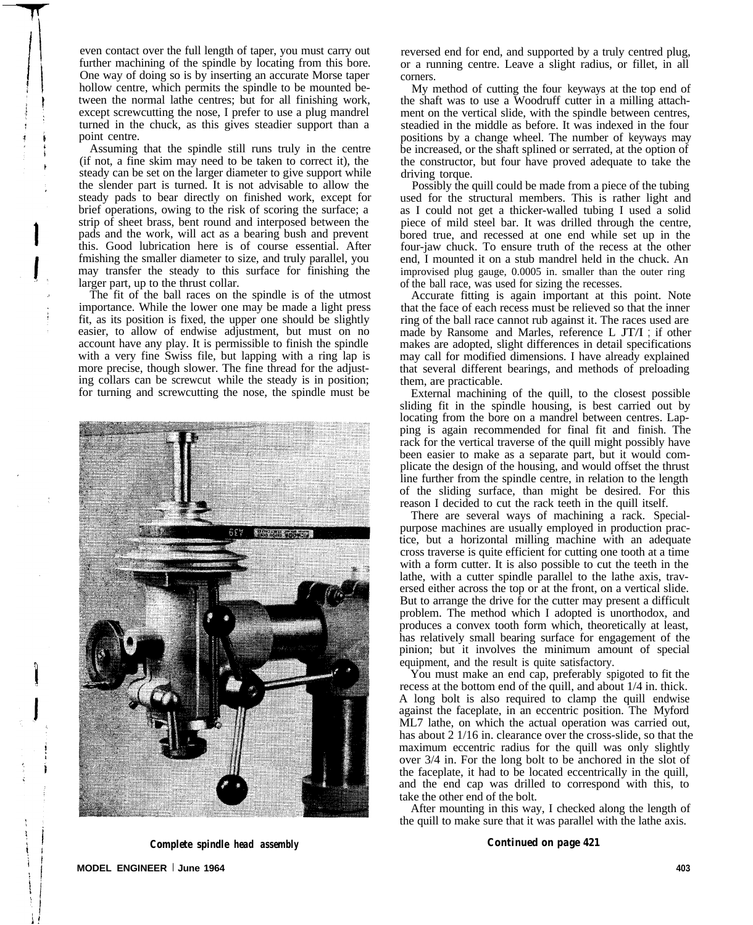even contact over the full length of taper, you must carry out further machining of the spindle by locating from this bore. One way of doing so is by inserting an accurate Morse taper hollow centre, which permits the spindle to be mounted between the normal lathe centres; but for all finishing work, except screwcutting the nose, I prefer to use a plug mandrel turned in the chuck, as this gives steadier support than a point centre.

Assuming that the spindle still runs truly in the centre (if not, a fine skim may need to be taken to correct it), the steady can be set on the larger diameter to give support while the slender part is turned. It is not advisable to allow the steady pads to bear directly on finished work, except for brief operations, owing to the risk of scoring the surface; a strip of sheet brass, bent round and interposed between the pads and the work, will act as a bearing bush and prevent this. Good lubrication here is of course essential. After fmishing the smaller diameter to size, and truly parallel, you may transfer the steady to this surface for finishing the larger part, up to the thrust collar.

The fit of the ball races on the spindle is of the utmost importance. While the lower one may be made a light press fit, as its position is fixed, the upper one should be slightly easier, to allow of endwise adjustment, but must on no account have any play. It is permissible to finish the spindle with a very fine Swiss file, but lapping with a ring lap is more precise, though slower. The fine thread for the adjusting collars can be screwcut while the steady is in position; for turning and screwcutting the nose, the spindle must be



reversed end for end, and supported by a truly centred plug, or a running centre. Leave a slight radius, or fillet, in all corners.

My method of cutting the four keyways at the top end of the shaft was to use a Woodruff cutter in a milling attachment on the vertical slide, with the spindle between centres, steadied in the middle as before. It was indexed in the four positions by a change wheel. The number of keyways may be increased, or the shaft splined or serrated, at the option of the constructor, but four have proved adequate to take the driving torque.

Possibly the quill could be made from a piece of the tubing used for the structural members. This is rather light and as I could not get a thicker-walled tubing I used a solid piece of mild steel bar. It was drilled through the centre, bored true, and recessed at one end while set up in the four-jaw chuck. To ensure truth of the recess at the other end, I mounted it on a stub mandrel held in the chuck. An improvised plug gauge, 0.0005 in. smaller than the outer ring of the ball race, was used for sizing the recesses.

Accurate fitting is again important at this point. Note that the face of each recess must be relieved so that the inner ring of the ball race cannot rub against it. The races used are made by Ransome and Marles, reference L JT/I ; if other makes are adopted, slight differences in detail specifications may call for modified dimensions. I have already explained that several different bearings, and methods of preloading them, are practicable.

External machining of the quill, to the closest possible sliding fit in the spindle housing, is best carried out by locating from the bore on a mandrel between centres. Lapping is again recommended for final fit and finish. The rack for the vertical traverse of the quill might possibly have been easier to make as a separate part, but it would complicate the design of the housing, and would offset the thrust line further from the spindle centre, in relation to the length of the sliding surface, than might be desired. For this reason I decided to cut the rack teeth in the quill itself.

There are several ways of machining a rack. Specialpurpose machines are usually employed in production practice, but a horizontal milling machine with an adequate cross traverse is quite efficient for cutting one tooth at a time with a form cutter. It is also possible to cut the teeth in the lathe, with a cutter spindle parallel to the lathe axis, traversed either across the top or at the front, on a vertical slide. But to arrange the drive for the cutter may present a difficult problem. The method which I adopted is unorthodox, and produces a convex tooth form which, theoretically at least, has relatively small bearing surface for engagement of the pinion; but it involves the minimum amount of special equipment, and the result is quite satisfactory.

You must make an end cap, preferably spigoted to fit the recess at the bottom end of the quill, and about 1/4 in. thick. A long bolt is also required to clamp the quill endwise against the faceplate, in an eccentric position. The Myford ML7 lathe, on which the actual operation was carried out, has about 2 1/16 in. clearance over the cross-slide, so that the maximum eccentric radius for the quill was only slightly over 3/4 in. For the long bolt to be anchored in the slot of the faceplate, it had to be located eccentrically in the quill, and the end cap was drilled to correspond with this, to take the other end of the bolt.

After mounting in this way, I checked along the length of the quill to make sure that it was parallel with the lathe axis.

*Complete spindle head assembly*

*Continued on page 421*